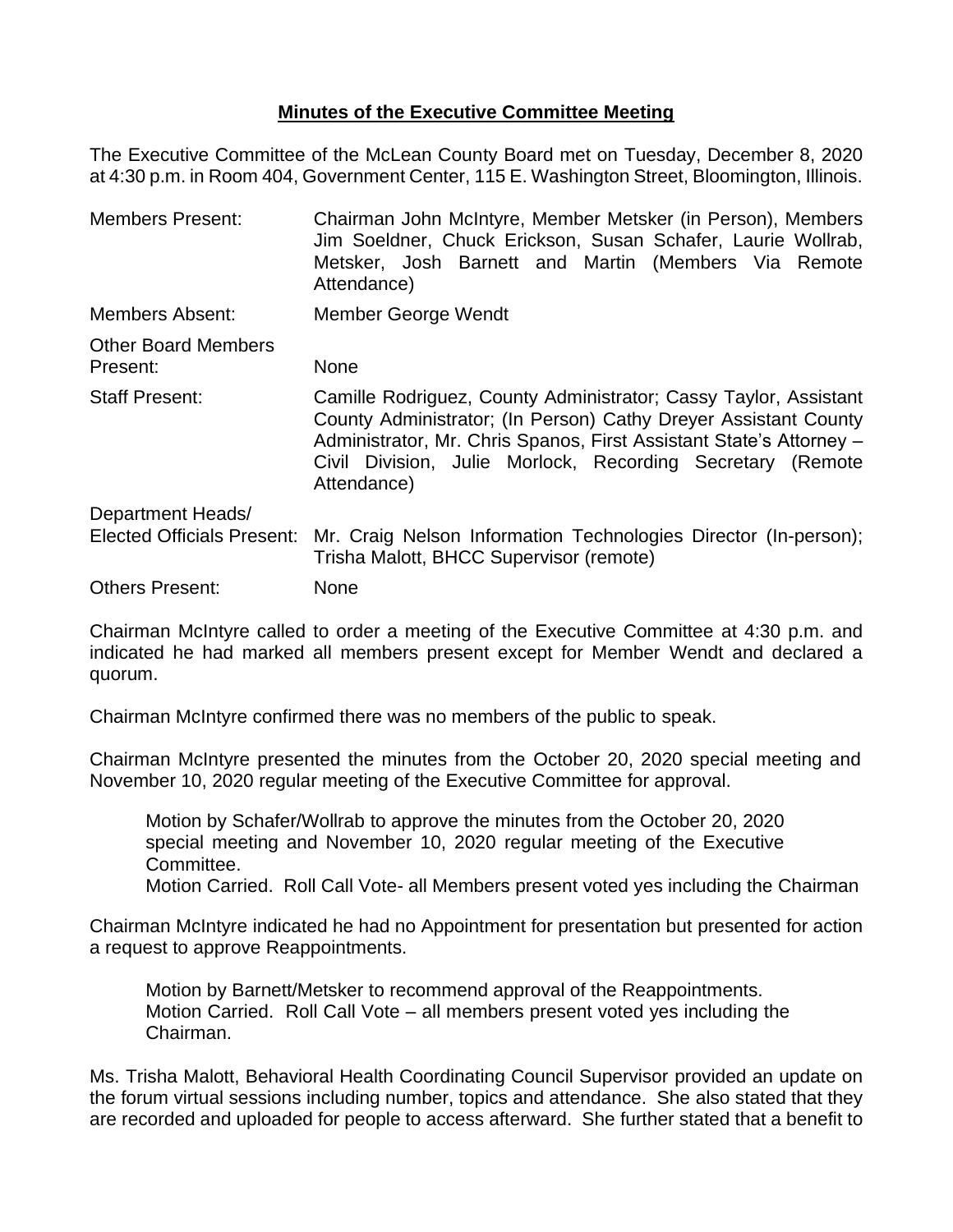## **Minutes of the Executive Committee Meeting**

The Executive Committee of the McLean County Board met on Tuesday, December 8, 2020 at 4:30 p.m. in Room 404, Government Center, 115 E. Washington Street, Bloomington, Illinois.

| <b>Members Present:</b>                | Chairman John McIntyre, Member Metsker (in Person), Members<br>Jim Soeldner, Chuck Erickson, Susan Schafer, Laurie Wollrab,<br>Metsker, Josh Barnett and Martin (Members Via Remote<br>Attendance)                                                                                      |
|----------------------------------------|-----------------------------------------------------------------------------------------------------------------------------------------------------------------------------------------------------------------------------------------------------------------------------------------|
| Members Absent:                        | Member George Wendt                                                                                                                                                                                                                                                                     |
| <b>Other Board Members</b><br>Present: | <b>None</b>                                                                                                                                                                                                                                                                             |
| <b>Staff Present:</b>                  | Camille Rodriguez, County Administrator; Cassy Taylor, Assistant<br>County Administrator; (In Person) Cathy Dreyer Assistant County<br>Administrator, Mr. Chris Spanos, First Assistant State's Attorney -<br>Civil Division, Julie Morlock, Recording Secretary (Remote<br>Attendance) |
| Department Heads/                      |                                                                                                                                                                                                                                                                                         |
| <b>Elected Officials Present:</b>      | Mr. Craig Nelson Information Technologies Director (In-person);<br>Trisha Malott, BHCC Supervisor (remote)                                                                                                                                                                              |
| <b>Others Present:</b>                 | None                                                                                                                                                                                                                                                                                    |

Chairman McIntyre called to order a meeting of the Executive Committee at 4:30 p.m. and indicated he had marked all members present except for Member Wendt and declared a quorum.

Chairman McIntyre confirmed there was no members of the public to speak.

Chairman McIntyre presented the minutes from the October 20, 2020 special meeting and November 10, 2020 regular meeting of the Executive Committee for approval.

Motion by Schafer/Wollrab to approve the minutes from the October 20, 2020 special meeting and November 10, 2020 regular meeting of the Executive Committee.

Motion Carried. Roll Call Vote- all Members present voted yes including the Chairman

Chairman McIntyre indicated he had no Appointment for presentation but presented for action a request to approve Reappointments.

Motion by Barnett/Metsker to recommend approval of the Reappointments. Motion Carried. Roll Call Vote – all members present voted yes including the Chairman.

Ms. Trisha Malott, Behavioral Health Coordinating Council Supervisor provided an update on the forum virtual sessions including number, topics and attendance. She also stated that they are recorded and uploaded for people to access afterward. She further stated that a benefit to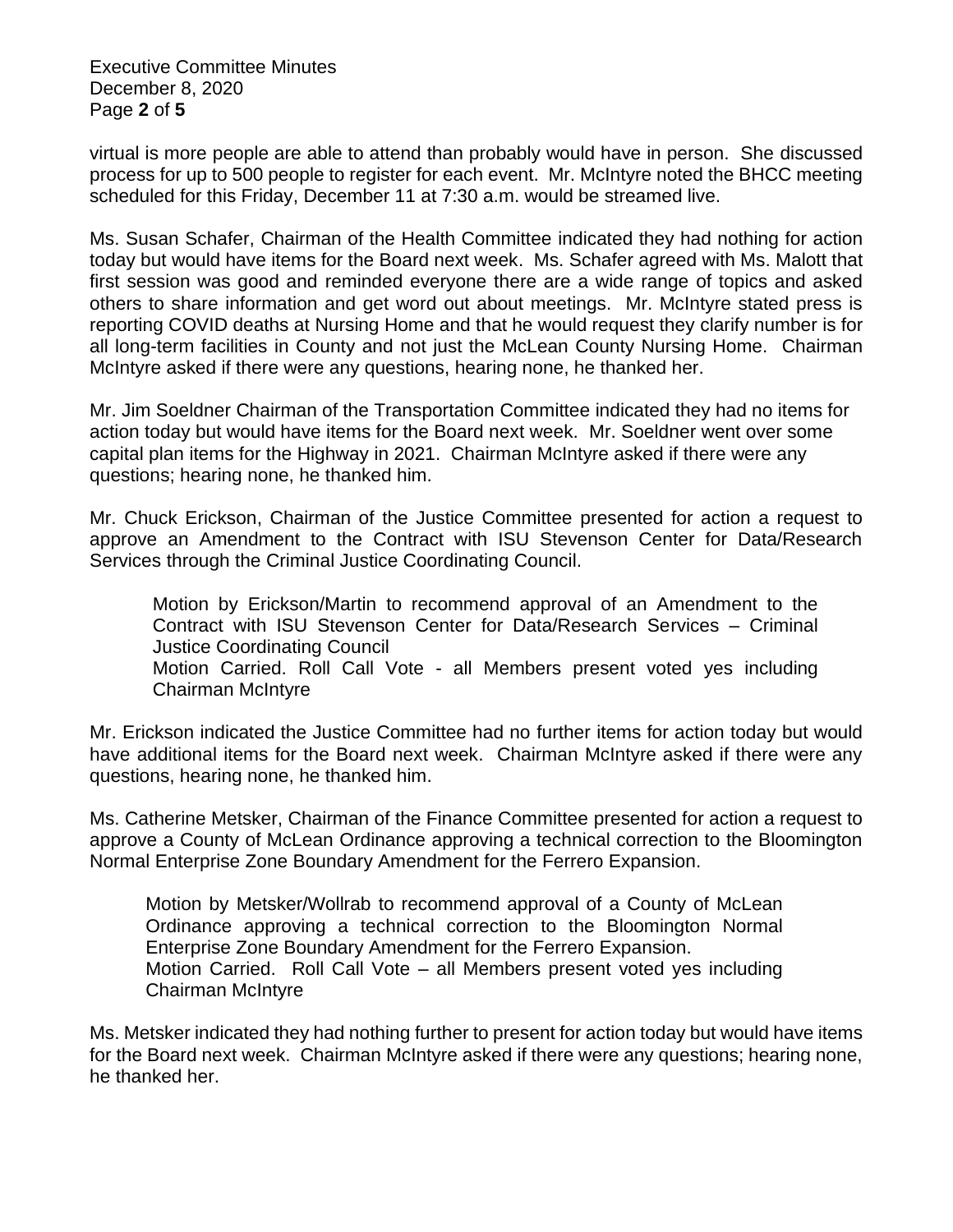Executive Committee Minutes December 8, 2020 Page **2** of **5**

virtual is more people are able to attend than probably would have in person. She discussed process for up to 500 people to register for each event. Mr. McIntyre noted the BHCC meeting scheduled for this Friday, December 11 at 7:30 a.m. would be streamed live.

Ms. Susan Schafer, Chairman of the Health Committee indicated they had nothing for action today but would have items for the Board next week. Ms. Schafer agreed with Ms. Malott that first session was good and reminded everyone there are a wide range of topics and asked others to share information and get word out about meetings. Mr. McIntyre stated press is reporting COVID deaths at Nursing Home and that he would request they clarify number is for all long-term facilities in County and not just the McLean County Nursing Home. Chairman McIntyre asked if there were any questions, hearing none, he thanked her.

Mr. Jim Soeldner Chairman of the Transportation Committee indicated they had no items for action today but would have items for the Board next week. Mr. Soeldner went over some capital plan items for the Highway in 2021. Chairman McIntyre asked if there were any questions; hearing none, he thanked him.

Mr. Chuck Erickson, Chairman of the Justice Committee presented for action a request to approve an Amendment to the Contract with ISU Stevenson Center for Data/Research Services through the Criminal Justice Coordinating Council.

Motion by Erickson/Martin to recommend approval of an Amendment to the Contract with ISU Stevenson Center for Data/Research Services – Criminal Justice Coordinating Council Motion Carried. Roll Call Vote - all Members present voted yes including Chairman McIntyre

Mr. Erickson indicated the Justice Committee had no further items for action today but would have additional items for the Board next week. Chairman McIntyre asked if there were any questions, hearing none, he thanked him.

Ms. Catherine Metsker, Chairman of the Finance Committee presented for action a request to approve a County of McLean Ordinance approving a technical correction to the Bloomington Normal Enterprise Zone Boundary Amendment for the Ferrero Expansion.

Motion by Metsker/Wollrab to recommend approval of a County of McLean Ordinance approving a technical correction to the Bloomington Normal Enterprise Zone Boundary Amendment for the Ferrero Expansion. Motion Carried. Roll Call Vote – all Members present voted yes including Chairman McIntyre

Ms. Metsker indicated they had nothing further to present for action today but would have items for the Board next week. Chairman McIntyre asked if there were any questions; hearing none, he thanked her.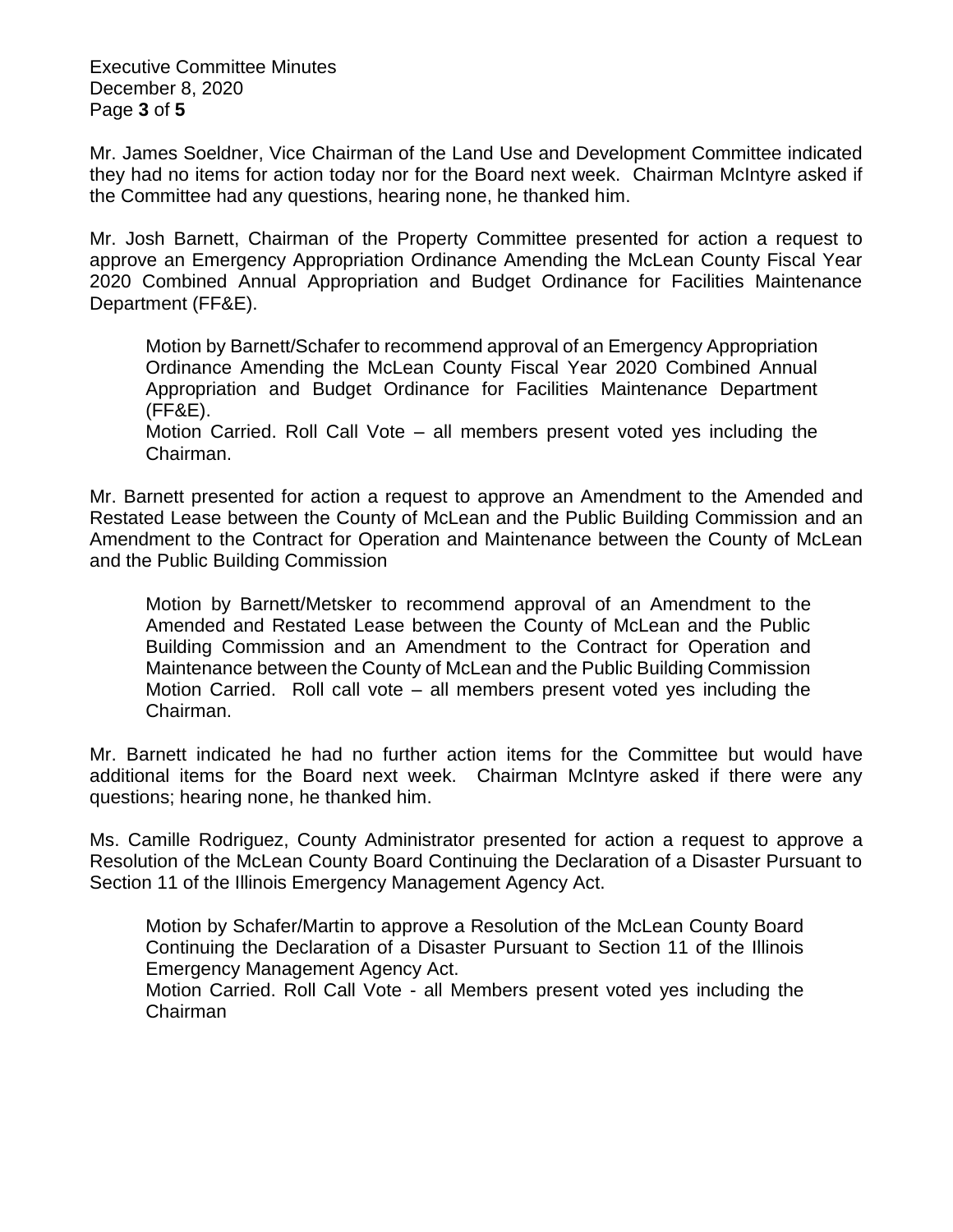Executive Committee Minutes December 8, 2020 Page **3** of **5**

Mr. James Soeldner, Vice Chairman of the Land Use and Development Committee indicated they had no items for action today nor for the Board next week. Chairman McIntyre asked if the Committee had any questions, hearing none, he thanked him.

Mr. Josh Barnett, Chairman of the Property Committee presented for action a request to approve an Emergency Appropriation Ordinance Amending the McLean County Fiscal Year 2020 Combined Annual Appropriation and Budget Ordinance for Facilities Maintenance Department (FF&E).

Motion by Barnett/Schafer to recommend approval of an Emergency Appropriation Ordinance Amending the McLean County Fiscal Year 2020 Combined Annual Appropriation and Budget Ordinance for Facilities Maintenance Department (FF&E).

Motion Carried. Roll Call Vote – all members present voted yes including the Chairman.

Mr. Barnett presented for action a request to approve an Amendment to the Amended and Restated Lease between the County of McLean and the Public Building Commission and an Amendment to the Contract for Operation and Maintenance between the County of McLean and the Public Building Commission

Motion by Barnett/Metsker to recommend approval of an Amendment to the Amended and Restated Lease between the County of McLean and the Public Building Commission and an Amendment to the Contract for Operation and Maintenance between the County of McLean and the Public Building Commission Motion Carried. Roll call vote – all members present voted yes including the Chairman.

Mr. Barnett indicated he had no further action items for the Committee but would have additional items for the Board next week. Chairman McIntyre asked if there were any questions; hearing none, he thanked him.

Ms. Camille Rodriguez, County Administrator presented for action a request to approve a Resolution of the McLean County Board Continuing the Declaration of a Disaster Pursuant to Section 11 of the Illinois Emergency Management Agency Act.

Motion by Schafer/Martin to approve a Resolution of the McLean County Board Continuing the Declaration of a Disaster Pursuant to Section 11 of the Illinois Emergency Management Agency Act.

Motion Carried. Roll Call Vote - all Members present voted yes including the Chairman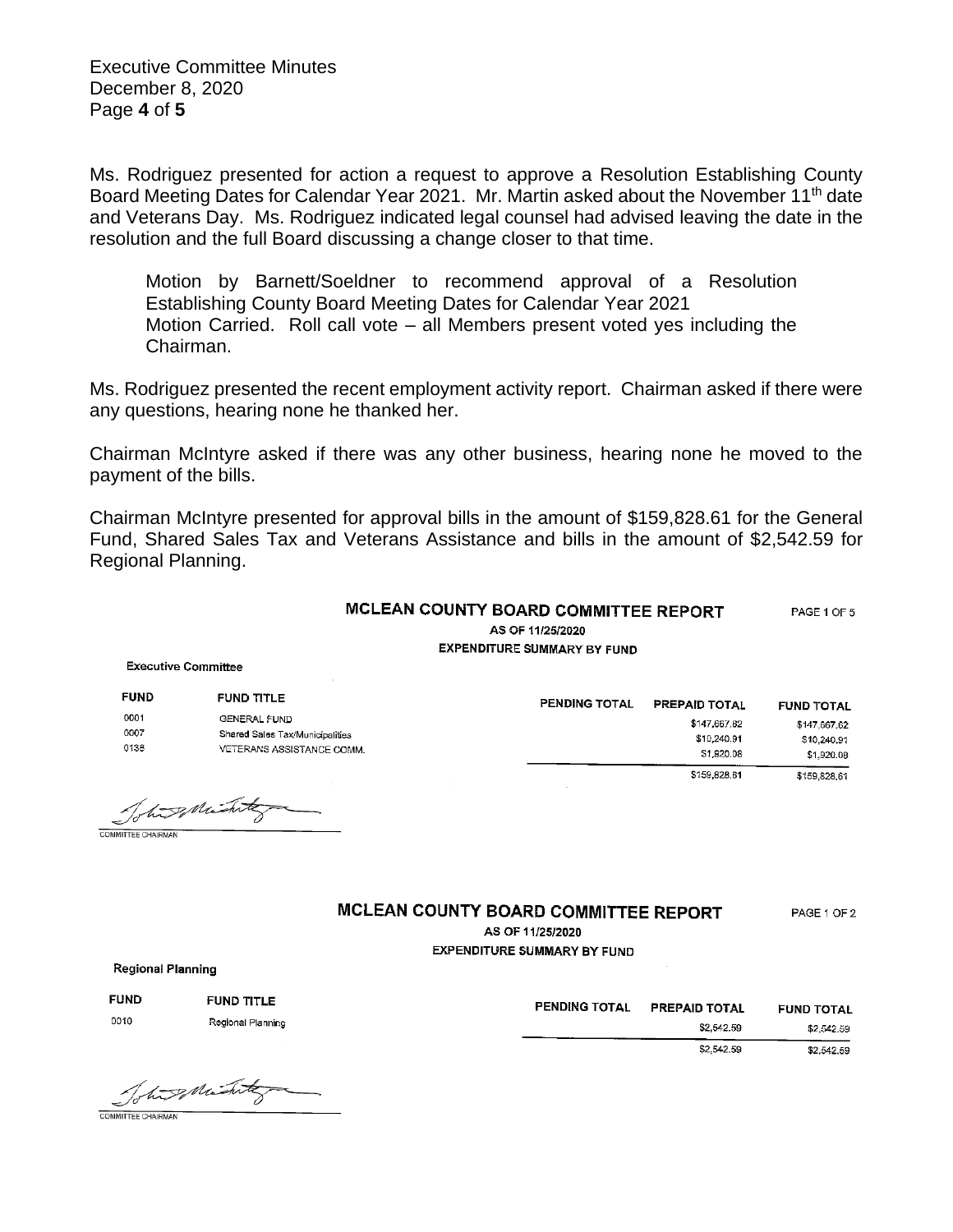Executive Committee Minutes December 8, 2020 Page **4** of **5**

Ms. Rodriguez presented for action a request to approve a Resolution Establishing County Board Meeting Dates for Calendar Year 2021. Mr. Martin asked about the November 11<sup>th</sup> date and Veterans Day. Ms. Rodriguez indicated legal counsel had advised leaving the date in the resolution and the full Board discussing a change closer to that time.

Motion by Barnett/Soeldner to recommend approval of a Resolution Establishing County Board Meeting Dates for Calendar Year 2021 Motion Carried. Roll call vote – all Members present voted yes including the Chairman.

Ms. Rodriguez presented the recent employment activity report. Chairman asked if there were any questions, hearing none he thanked her.

Chairman McIntyre asked if there was any other business, hearing none he moved to the payment of the bills.

Chairman McIntyre presented for approval bills in the amount of \$159,828.61 for the General Fund, Shared Sales Tax and Veterans Assistance and bills in the amount of \$2,542.59 for Regional Planning.

| MCLEAN COUNTY BOARD COMMITTEE REPORT | PAGE 1 OF 5 |
|--------------------------------------|-------------|
| AS OF 11/25/2020                     |             |
| <b>EXPENDITURE SUMMARY BY FUND</b>   |             |

**Executive Committee** 

| <b>FUND</b>          | <b>FUND TITLE</b>                                                                   | PENDING TOTAL | <b>PREPAID TOTAL</b>                      | <b>FUND TOTAL</b>                         |
|----------------------|-------------------------------------------------------------------------------------|---------------|-------------------------------------------|-------------------------------------------|
| 0001<br>0007<br>0136 | <b>GENERAL FUND</b><br>Shared Sales Tax/Municipalities<br>VETERANS ASSISTANCE COMM. |               | \$147,667.62<br>\$10,240.91<br>\$1,920.08 | \$147,667.62<br>\$10,240,91<br>\$1,920.08 |
|                      | $\sim$<br>$\overline{\phantom{a}}$                                                  |               | \$159,828.61                              | \$159,828.61                              |

Tohing Mint

## MCLEAN COUNTY BOARD COMMITTEE REPORT

PAGE 1 OF 2

AS OF 11/25/2020 **EXPENDITURE SUMMARY BY FUND** 

**Regional Planning** 

| <b>FUND</b><br>FUND TITLE<br><b>PENDING TOTAL</b> | <b>PREPAID TOTAL</b> | <b>FUND TOTAL</b> |
|---------------------------------------------------|----------------------|-------------------|
| 0010<br>Regional Planning                         | \$2,542.59           | \$2,542.59        |
|                                                   | \$2,542.59           | \$2,542,59        |

The suitating COMMITTEE CHAIRMAN